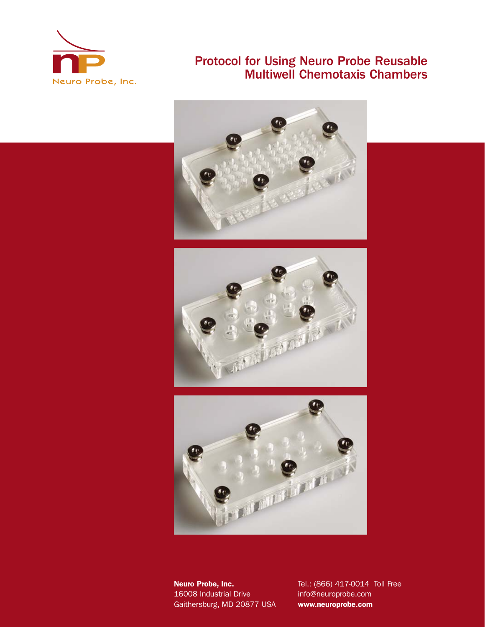

# Protocol for Using Neuro Probe Reusable Multiwell Chemotaxis Chambers







16008 Industrial Drive info@neuroprobe.com Gaithersburg, MD 20877 USA **www.neuroprobe.com**

**Neuro Probe, Inc.** Tel.: (866) 417-0014 Toll Free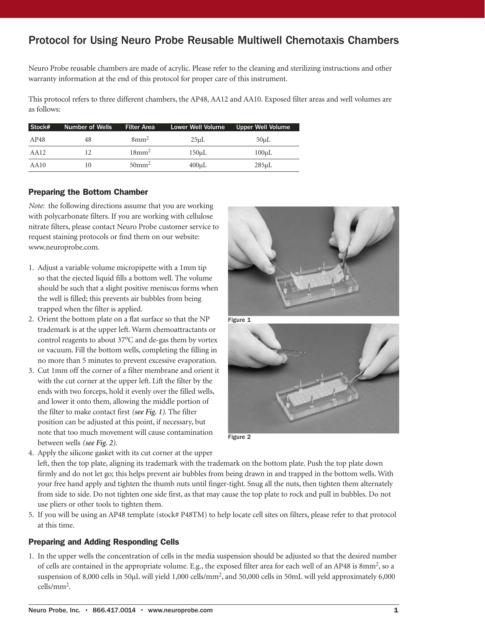# Protocol for Using Neuro Probe Reusable Multiwell Chemotaxis Chambers

Neuro Probe reusable chambers are made of acrylic. Please refer to the cleaning and sterilizing instructions and other warranty information at the end of this protocol for proper care of this instrument.

This protocol refers to three different chambers, the AP48, AA12 and AA10. Exposed filter areas and well volumes are as follows:

| Stock# | Number of Wells | <b>Filter Area</b>   | <b>Lower Well Volume</b> | <b>Upper Well Volume</b> |
|--------|-----------------|----------------------|--------------------------|--------------------------|
| AP48   | 48              | $8 \text{mm}^2$      | $25 \mu L$               | $50 \mu L$               |
| AA12   |                 | $18 \text{mm}^2$     | $150 \mu L$              | $100 \mu L$              |
| AA10   | 10              | $50$ mm <sup>2</sup> | $400 \mu L$              | $285 \mu L$              |

### **Preparing the Bottom Chamber**

*Note:* the following directions assume that you are working with polycarbonate filters. If you are working with cellulose nitrate filters, please contact Neuro Probe customer service to request staining protocols or find them on our website: www.neuroprobe.com.

- 1. Adjust a variable volume micropipette with a 1mm tip so that the ejected liquid fills a bottom well. The volume should be such that a slight positive meniscus forms when the well is filled; this prevents air bubbles from being trapped when the filter is applied.
- 2. Orient the bottom plate on a flat surface so that the NP trademark is at the upper left. Warm chemoattractants or control reagents to about 37°C and de-gas them by vortex or vacuum. Fill the bottom wells, completing the filling in no more than 5 minutes to prevent excessive evaporation.
- 3. Cut 1mm off the corner of a filter membrane and orient it with the cut corner at the upper left. Lift the filter by the ends with two forceps, hold it evenly over the filled wells, and lower it onto them, allowing the middle portion of the filter to make contact first *(see Fig. 1)*. The filter position can be adjusted at this point, if necessary, but note that too much movement will cause contamination between wells *(see Fig. 2)*.





Figure 2

4. Apply the silicone gasket with its cut corner at the upper left, then the top plate, aligning its trademark with the trademark on the bottom plate. Push the top plate down firmly and do not let go; this helps prevent air bubbles from being drawn in and trapped in the bottom wells. With your free hand apply and tighten the thumb nuts until finger-tight. Snug all the nuts, then tighten them alternately from side to side. Do not tighten one side first, as that may cause the top plate to rock and pull in bubbles. Do not use pliers or other tools to tighten them.

5. If you will be using an AP48 template (stock# P48TM) to help locate cell sites on filters, please refer to that protocol at this time.

#### **Preparing and Adding Responding Cells**

1. In the upper wells the concentration of cells in the media suspension should be adjusted so that the desired number of cells are contained in the appropriate volume. E.g., the exposed filter area for each well of an AP48 is 8mm2, so a suspension of 8,000 cells in 50µL will yield 1,000 cells/mm<sup>2</sup>, and 50,000 cells in 50mL will yeld approximately 6,000 cells/mm2.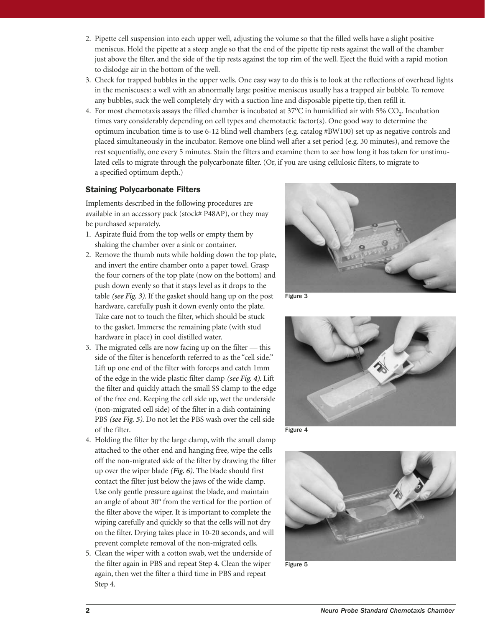- 2. Pipette cell suspension into each upper well, adjusting the volume so that the filled wells have a slight positive meniscus. Hold the pipette at a steep angle so that the end of the pipette tip rests against the wall of the chamber just above the filter, and the side of the tip rests against the top rim of the well. Eject the fluid with a rapid motion to dislodge air in the bottom of the well.
- 3. Check for trapped bubbles in the upper wells. One easy way to do this is to look at the reflections of overhead lights in the meniscuses: a well with an abnormally large positive meniscus usually has a trapped air bubble. To remove any bubbles, suck the well completely dry with a suction line and disposable pipette tip, then refill it.
- 4. For most chemotaxis assays the filled chamber is incubated at  $37^{\circ}$ C in humidified air with  $5\%$  CO<sub>2</sub>. Incubation times vary considerably depending on cell types and chemotactic factor(s). One good way to determine the optimum incubation time is to use 6-12 blind well chambers (e.g. catalog #BW100) set up as negative controls and placed simultaneously in the incubator. Remove one blind well after a set period (e.g. 30 minutes), and remove the rest sequentially, one every 5 minutes. Stain the filters and examine them to see how long it has taken for unstimulated cells to migrate through the polycarbonate filter. (Or, if you are using cellulosic filters, to migrate to a specified optimum depth.)

### **Staining Polycarbonate Filters**

Implements described in the following procedures are available in an accessory pack (stock# P48AP), or they may be purchased separately.

- 1. Aspirate fluid from the top wells or empty them by shaking the chamber over a sink or container.
- 2. Remove the thumb nuts while holding down the top plate, and invert the entire chamber onto a paper towel. Grasp the four corners of the top plate (now on the bottom) and push down evenly so that it stays level as it drops to the table *(see Fig. 3)*. If the gasket should hang up on the post hardware, carefully push it down evenly onto the plate. Take care not to touch the filter, which should be stuck to the gasket. Immerse the remaining plate (with stud hardware in place) in cool distilled water.
- 3. The migrated cells are now facing up on the filter this side of the filter is henceforth referred to as the "cell side." Lift up one end of the filter with forceps and catch 1mm of the edge in the wide plastic filter clamp *(see Fig. 4)*. Lift the filter and quickly attach the small SS clamp to the edge of the free end. Keeping the cell side up, wet the underside (non-migrated cell side) of the filter in a dish containing PBS *(see Fig. 5)*. Do not let the PBS wash over the cell side of the filter.
- 4. Holding the filter by the large clamp, with the small clamp attached to the other end and hanging free, wipe the cells off the non-migrated side of the filter by drawing the filter up over the wiper blade *(Fig. 6)*. The blade should first contact the filter just below the jaws of the wide clamp. Use only gentle pressure against the blade, and maintain an angle of about 30° from the vertical for the portion of the filter above the wiper. It is important to complete the wiping carefully and quickly so that the cells will not dry on the filter. Drying takes place in 10-20 seconds, and will prevent complete removal of the non-migrated cells.
- 5. Clean the wiper with a cotton swab, wet the underside of the filter again in PBS and repeat Step 4. Clean the wiper again, then wet the filter a third time in PBS and repeat Step 4.



Figure 3



Figure 4



Figure 5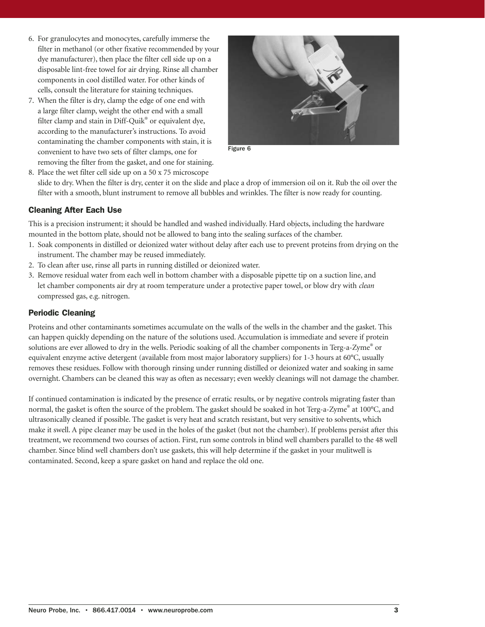- 6. For granulocytes and monocytes, carefully immerse the filter in methanol (or other fixative recommended by your dye manufacturer), then place the filter cell side up on a disposable lint-free towel for air drying. Rinse all chamber components in cool distilled water. For other kinds of cells, consult the literature for staining techniques.
- 7. When the filter is dry, clamp the edge of one end with a large filter clamp, weight the other end with a small filter clamp and stain in Diff-Quik® or equivalent dye, according to the manufacturer's instructions. To avoid contaminating the chamber components with stain, it is convenient to have two sets of filter clamps, one for removing the filter from the gasket, and one for staining.



Figure 6

8. Place the wet filter cell side up on a 50 x 75 microscope slide to dry. When the filter is dry, center it on the slide and place a drop of immersion oil on it. Rub the oil over the filter with a smooth, blunt instrument to remove all bubbles and wrinkles. The filter is now ready for counting.

# **Cleaning After Each Use**

This is a precision instrument; it should be handled and washed individually. Hard objects, including the hardware mounted in the bottom plate, should not be allowed to bang into the sealing surfaces of the chamber.

- 1. Soak components in distilled or deionized water without delay after each use to prevent proteins from drying on the instrument. The chamber may be reused immediately.
- 2. To clean after use, rinse all parts in running distilled or deionized water.
- 3. Remove residual water from each well in bottom chamber with a disposable pipette tip on a suction line, and let chamber components air dry at room temperature under a protective paper towel, or blow dry with *clean* compressed gas, e.g. nitrogen.

## **Periodic Cleaning**

Proteins and other contaminants sometimes accumulate on the walls of the wells in the chamber and the gasket. This can happen quickly depending on the nature of the solutions used. Accumulation is immediate and severe if protein solutions are ever allowed to dry in the wells. Periodic soaking of all the chamber components in Terg-a-Zyme® or equivalent enzyme active detergent (available from most major laboratory suppliers) for 1-3 hours at 60°C, usually removes these residues. Follow with thorough rinsing under running distilled or deionized water and soaking in same overnight. Chambers can be cleaned this way as often as necessary; even weekly cleanings will not damage the chamber.

If continued contamination is indicated by the presence of erratic results, or by negative controls migrating faster than normal, the gasket is often the source of the problem. The gasket should be soaked in hot Terg-a-Zyme® at 100°C, and ultrasonically cleaned if possible. The gasket is very heat and scratch resistant, but very sensitive to solvents, which make it swell. A pipe cleaner may be used in the holes of the gasket (but not the chamber). If problems persist after this treatment, we recommend two courses of action. First, run some controls in blind well chambers parallel to the 48 well chamber. Since blind well chambers don't use gaskets, this will help determine if the gasket in your mulitwell is contaminated. Second, keep a spare gasket on hand and replace the old one.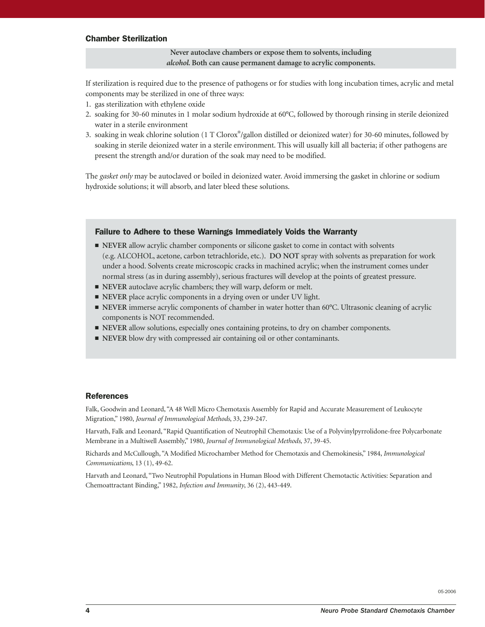#### **Chamber Sterilization**

#### **Never autoclave chambers or expose them to solvents, including** *alcohol***. Both can cause permanent damage to acrylic components.**

If sterilization is required due to the presence of pathogens or for studies with long incubation times, acrylic and metal components may be sterilized in one of three ways:

- 1. gas sterilization with ethylene oxide
- 2. soaking for 30-60 minutes in 1 molar sodium hydroxide at 60°C, followed by thorough rinsing in sterile deionized water in a sterile environment
- 3. soaking in weak chlorine solution (1 T Clorox®/gallon distilled or deionized water) for 30-60 minutes, followed by soaking in sterile deionized water in a sterile environment. This will usually kill all bacteria; if other pathogens are present the strength and/or duration of the soak may need to be modified.

The *gasket only* may be autoclaved or boiled in deionized water. Avoid immersing the gasket in chlorine or sodium hydroxide solutions; it will absorb, and later bleed these solutions.

#### **Failure to Adhere to these Warnings Immediately Voids the Warranty**

- **NEVER** allow acrylic chamber components or silicone gasket to come in contact with solvents (e.g. ALCOHOL, acetone, carbon tetrachloride, etc.). **DO NOT** spray with solvents as preparation for work under a hood. Solvents create microscopic cracks in machined acrylic; when the instrument comes under normal stress (as in during assembly), serious fractures will develop at the points of greatest pressure.
- **NEVER** autoclave acrylic chambers; they will warp, deform or melt.
- **NEVER** place acrylic components in a drying oven or under UV light.
- **NEVER** immerse acrylic components of chamber in water hotter than 60°C. Ultrasonic cleaning of acrylic components is NOT recommended.
- **NEVER** allow solutions, especially ones containing proteins, to dry on chamber components.
- **NEVER** blow dry with compressed air containing oil or other contaminants.

#### **References**

Falk, Goodwin and Leonard, "A 48 Well Micro Chemotaxis Assembly for Rapid and Accurate Measurement of Leukocyte Migration," 1980, *Journal of Immunological Methods*, 33, 239-247.

Harvath, Falk and Leonard, "Rapid Quantification of Neutrophil Chemotaxis: Use of a Polyvinylpyrrolidone-free Polycarbonate Membrane in a Multiwell Assembly," 1980, *Journal of Immunological Methods*, 37, 39-45.

Richards and McCullough, "A Modified Microchamber Method for Chemotaxis and Chemokinesis," 1984, *Immunological Communications*, 13 (1), 49-62.

Harvath and Leonard, "Two Neutrophil Populations in Human Blood with Different Chemotactic Activities: Separation and Chemoattractant Binding," 1982, *Infection and Immunity*, 36 (2), 443-449.